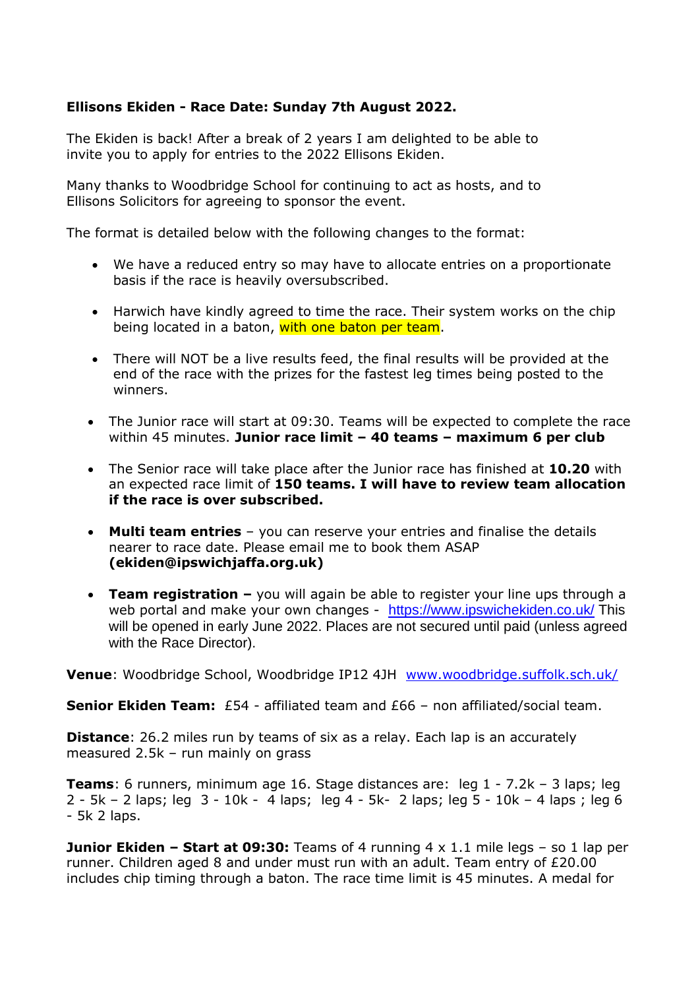#### **Ellisons Ekiden - Race Date: Sunday 7th August 2022.**

The Ekiden is back! After a break of 2 years I am delighted to be able to invite you to apply for entries to the 2022 Ellisons Ekiden.

Many thanks to Woodbridge School for continuing to act as hosts, and to Ellisons Solicitors for agreeing to sponsor the event.

The format is detailed below with the following changes to the format:

- We have a reduced entry so may have to allocate entries on a proportionate basis if the race is heavily oversubscribed.
- Harwich have kindly agreed to time the race. Their system works on the chip being located in a baton, with one baton per team.
- There will NOT be a live results feed, the final results will be provided at the end of the race with the prizes for the fastest leg times being posted to the winners.
- The Junior race will start at 09:30. Teams will be expected to complete the race within 45 minutes. **Junior race limit – 40 teams – maximum 6 per club**
- The Senior race will take place after the Junior race has finished at **10.20** with an expected race limit of **150 teams. I will have to review team allocation if the race is over subscribed.**
- **Multi team entries**  you can reserve your entries and finalise the details nearer to race date. Please email me to book them ASAP **(ekiden@ipswichjaffa.org.uk)**
- **Team registration –** you will again be able to register your line ups through a web portal and make your own changes - <https://www.ipswichekiden.co.uk/> This will be opened in early June 2022. Places are not secured until paid (unless agreed with the Race Director).

**Venue**: Woodbridge School, Woodbridge IP12 4JH [www.woodbridge.suffolk.sch.uk/](http://www.woodbridge.suffolk.sch.uk/)

**Senior Ekiden Team:** £54 - affiliated team and £66 - non affiliated/social team.

**Distance**: 26.2 miles run by teams of six as a relay. Each lap is an accurately measured 2.5k – run mainly on grass

**Teams**: 6 runners, minimum age 16. Stage distances are: leg 1 - 7.2k – 3 laps; leg 2 - 5k – 2 laps; leg 3 - 10k - 4 laps; leg 4 - 5k- 2 laps; leg 5 - 10k – 4 laps ; leg 6 - 5k 2 laps.

**Junior Ekiden – Start at 09:30:** Teams of 4 running 4 x 1.1 mile legs – so 1 lap per runner. Children aged 8 and under must run with an adult. Team entry of £20.00 includes chip timing through a baton. The race time limit is 45 minutes. A medal for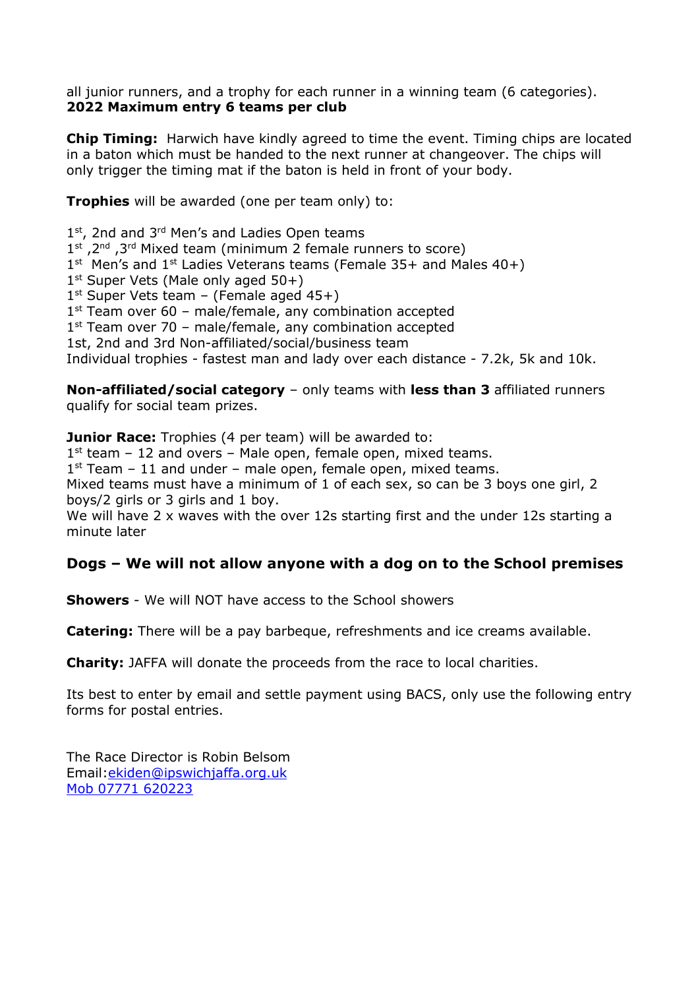all junior runners, and a trophy for each runner in a winning team (6 categories). **2022 Maximum entry 6 teams per club**

**Chip Timing:** Harwich have kindly agreed to time the event. Timing chips are located in a baton which must be handed to the next runner at changeover. The chips will only trigger the timing mat if the baton is held in front of your body.

**Trophies** will be awarded (one per team only) to:

1<sup>st</sup>, 2nd and 3<sup>rd</sup> Men's and Ladies Open teams 1<sup>st</sup>, 2<sup>nd</sup>, 3<sup>rd</sup> Mixed team (minimum 2 female runners to score)  $1<sup>st</sup>$  Men's and  $1<sup>st</sup>$  Ladies Veterans teams (Female 35+ and Males 40+) 1<sup>st</sup> Super Vets (Male only aged 50+) 1 st Super Vets team – (Female aged 45+) 1<sup>st</sup> Team over 60 - male/female, any combination accepted 1 st Team over 70 – male/female, any combination accepted 1st, 2nd and 3rd Non-affiliated/social/business team Individual trophies - fastest man and lady over each distance - 7.2k, 5k and 10k.

**Non-affiliated/social category** – only teams with **less than 3** affiliated runners qualify for social team prizes.

**Junior Race:** Trophies (4 per team) will be awarded to: 1 st team – 12 and overs – Male open, female open, mixed teams. 1<sup>st</sup> Team - 11 and under - male open, female open, mixed teams. Mixed teams must have a minimum of 1 of each sex, so can be 3 boys one girl, 2 boys/2 girls or 3 girls and 1 boy. We will have 2 x waves with the over 12s starting first and the under 12s starting a minute later

### **Dogs – We will not allow anyone with a dog on to the School premises**

**Showers** - We will NOT have access to the School showers

**Catering:** There will be a pay barbeque, refreshments and ice creams available.

**Charity:** JAFFA will donate the proceeds from the race to local charities.

Its best to enter by email and settle payment using BACS, only use the following entry forms for postal entries.

The Race Director is Robin Belsom Email[:ekiden@ipswichjaffa.org.uk](mailto:ekiden@ipswichjaffa.org.uk) Mob 07771 620223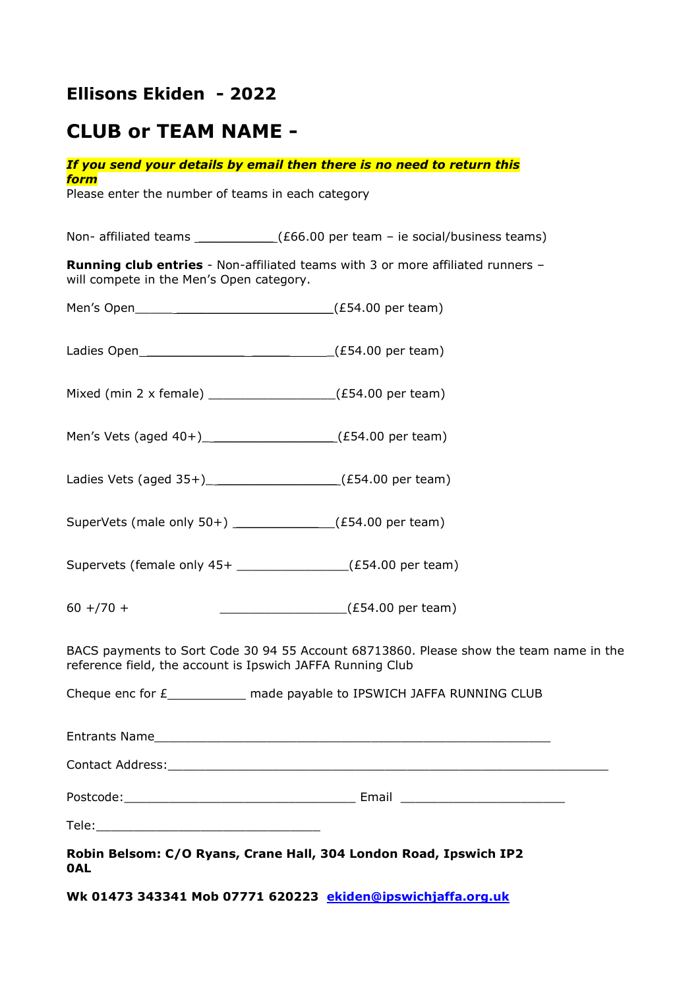## **Ellisons Ekiden - 2022**

# **CLUB or TEAM NAME -**

|                                                                                 | If you send your details by email then there is no need to return this                 |  |
|---------------------------------------------------------------------------------|----------------------------------------------------------------------------------------|--|
| form<br>Please enter the number of teams in each category                       |                                                                                        |  |
|                                                                                 |                                                                                        |  |
|                                                                                 | Non- affiliated teams $\_{\_\_\_\_}$ (£66.00 per team - ie social/business teams)      |  |
| will compete in the Men's Open category.                                        | <b>Running club entries</b> - Non-affiliated teams with 3 or more affiliated runners - |  |
|                                                                                 |                                                                                        |  |
|                                                                                 |                                                                                        |  |
| Mixed (min 2 x female) __________________(£54.00 per team)                      |                                                                                        |  |
| Men's Vets (aged $40+$ ) ______________________(£54.00 per team)                |                                                                                        |  |
| Ladies Vets (aged $35+$ ) ______________________(£54.00 per team)               |                                                                                        |  |
| SuperVets (male only $50+$ ) _____________(£54.00 per team)                     |                                                                                        |  |
| Supervets (female only 45+ _______________(£54.00 per team)                     |                                                                                        |  |
| $60 + 70 +$                                                                     | $\frac{1}{2}$ (£54.00 per team)                                                        |  |
| reference field, the account is Ipswich JAFFA Running Club                      | BACS payments to Sort Code 30 94 55 Account 68713860. Please show the team name in the |  |
|                                                                                 | Cheque enc for £_____________ made payable to IPSWICH JAFFA RUNNING CLUB               |  |
|                                                                                 |                                                                                        |  |
|                                                                                 |                                                                                        |  |
|                                                                                 |                                                                                        |  |
|                                                                                 |                                                                                        |  |
| Robin Belsom: C/O Ryans, Crane Hall, 304 London Road, Ipswich IP2<br><b>OAL</b> |                                                                                        |  |

**Wk 01473 343341 Mob 07771 620223 [ekiden@ipswichjaffa.org.uk](mailto:ekiden@ipswichjaffa.org.uk)**